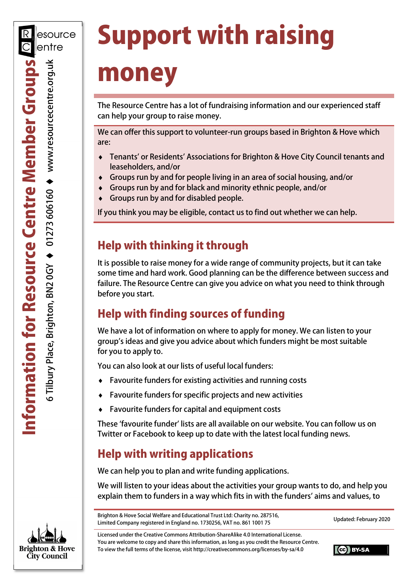# Support with raising money

The Resource Centre has a lot of fundraising information and our experienced staff can help your group to raise money.

We can offer this support to volunteer-run groups based in Brighton & Hove which are:

- Tenants' or Residents' Associations for Brighton & Hove City Council tenants and leaseholders, and/or
- Groups run by and for people living in an area of social housing, and/or
- Groups run by and for black and minority ethnic people, and/or
- Groups run by and for disabled people.

If you think you may be eligible, contact us to find out whether we can help.

# Help with thinking it through

It is possible to raise money for a wide range of community projects, but it can take some time and hard work. Good planning can be the difference between success and failure. The Resource Centre can give you advice on what you need to think through before you start.

# Help with finding sources of funding

We have a lot of information on where to apply for money. We can listen to your group's ideas and give you advice about which funders might be most suitable for you to apply to.

You can also look at our lists of useful local funders:

- Favourite funders for existing activities and running costs
- Favourite funders for specific projects and new activities
- ◆ Favourite funders for capital and equipment costs

These 'favourite funder' lists are all available on our website. You can follow us on Twitter or Facebook to keep up to date with the latest local funding news.

# Help with writing applications

We can help you to plan and write funding applications.

We will listen to your ideas about the activities your group wants to do, and help you explain them to funders in a way which fits in with the funders' aims and values, to

Brighton & Hove Social Welfare and Educational Trust Ltd: Charity no. 287516, Limited Company registered in England no. 1730256, VAT no. 861 1001 75 Updated: February 2020

Licensed under the Creative Commons Attribution-ShareAlike 4.0 International License. You are welcome to copy and share this information, as long as you credit the Resource Centre. To view the full terms of the license, visit http://creativecommons.org/licenses/by-sa/4.0